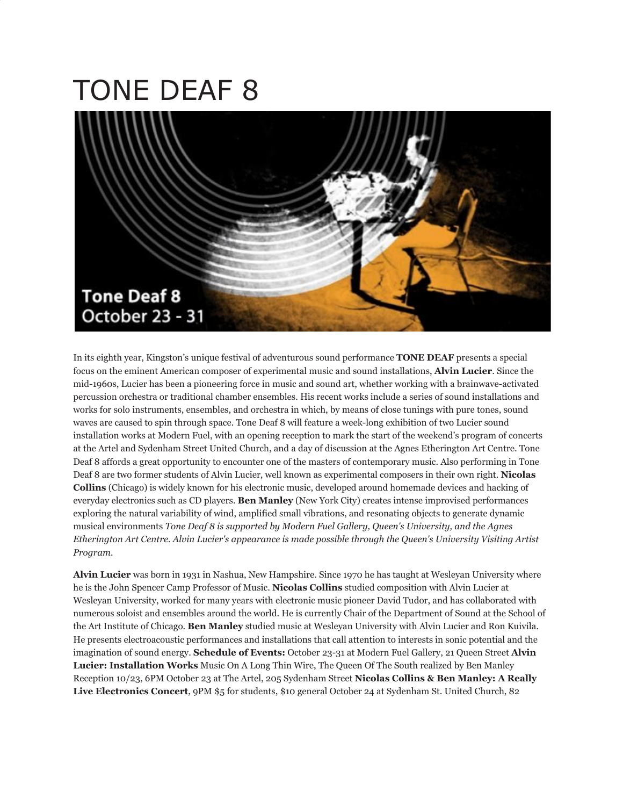## TONE DEAF 8



In its eighth year, Kingston's unique festival of adventurous sound performance **TONE DEAF** presents a special focus on the eminent American composer of experimental music and sound installations, **Alvin Lucier**. Since the mid-1960s, Lucier has been a pioneering force in music and sound art, whether working with a brainwave-activated percussion orchestra or traditional chamber ensembles. His recent works include a series of sound installations and works for solo instruments, ensembles, and orchestra in which, by means of close tunings with pure tones, sound waves are caused to spin through space. Tone Deaf 8 will feature a week-long exhibition of two Lucier sound installation works at Modern Fuel, with an opening reception to mark the start of the weekend's program of concerts at the Artel and Sydenham Street United Church, and a day of discussion at the Agnes Etherington Art Centre. Tone Deaf 8 affords a great opportunity to encounter one of the masters of contemporary music. Also performing in Tone Deaf 8 are two former students of Alvin Lucier, well known as experimental composers in their own right. **Nicolas Collins** (Chicago) is widely known for his electronic music, developed around homemade devices and hacking of everyday electronics such as CD players. **Ben Manley** (New York City) creates intense improvised performances exploring the natural variability of wind, amplified small vibrations, and resonating objects to generate dynamic musical environments *Tone Deaf 8 is supported by Modern Fuel Gallery, Queen's University, and the Agnes Etherington Art Centre. Alvin Lucier's appearance is made possible through the Queen's University Visiting Artist Program.*

**Alvin Lucier** was born in 1931 in Nashua, New Hampshire. Since 1970 he has taught at Wesleyan University where he is the John Spencer Camp Professor of Music. **Nicolas Collins** studied composition with Alvin Lucier at Wesleyan University, worked for many years with electronic music pioneer David Tudor, and has collaborated with numerous soloist and ensembles around the world. He is currently Chair of the Department of Sound at the School of the Art Institute of Chicago. **Ben Manley** studied music at Wesleyan University with Alvin Lucier and Ron Kuivila. He presents electroacoustic performances and installations that call attention to interests in sonic potential and the imagination of sound energy. **Schedule of Events:** October 23-31 at Modern Fuel Gallery, 21 Queen Street **Alvin Lucier: Installation Works** Music On A Long Thin Wire, The Queen Of The South realized by Ben Manley Reception 10/23, 6PM October 23 at The Artel, 205 Sydenham Street **Nicolas Collins & Ben Manley: A Really Live Electronics Concert**, 9PM \$5 for students, \$10 general October 24 at Sydenham St. United Church, 82